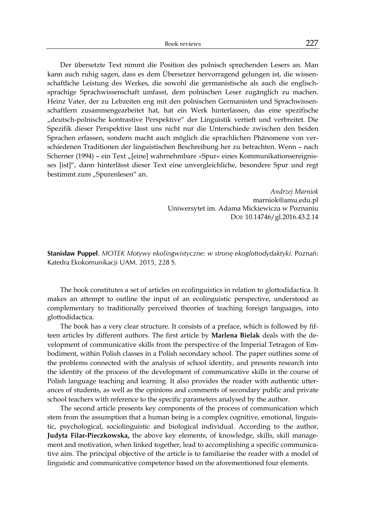**Stanisław Puppel**. *MOTEK Motywy ekolingwistyczne: w stronę ekoglottodydaktyki.* Poznań: Katedra Ekokomunikacii UAM. 2015, 228 S.

The book constitutes a set of articles on ecolinguistics in relation to glottodidactica. It makes an attempt to outline the input of an ecolinguistic perspective, understood as complementary to traditionally perceived theories of teaching foreign languages, into glottodidactica.

The book has a very clear structure. It consists of a preface, which is followed by fifteen articles by different authors. The first article by **Marlena Bielak** deals with the development of communicative skills from the perspective of the Imperial Tetragon of Embodiment, within Polish classes in a Polish secondary school. The paper outlines some of the problems connected with the analysis of school identity, and presents research into the identity of the process of the development of communicative skills in the course of Polish language teaching and learning. It also provides the reader with authentic utterances of students, as well as the opinions and comments of secondary public and private school teachers with reference to the specific parameters analysed by the author.

The second article presents key components of the process of communication which stem from the assumption that a human being is a complex cognitive, emotional, linguistic, psychological, sociolinguistic and biological individual. According to the author, **Judyta Filar-Pieczkowska,** the above key elements, of knowledge, skills, skill management and motivation, when linked together, lead to accomplishing a specific communicative aim. The principal objective of the article is to familiarise the reader with a model of linguistic and communicative competence based on the aforementioned four elements.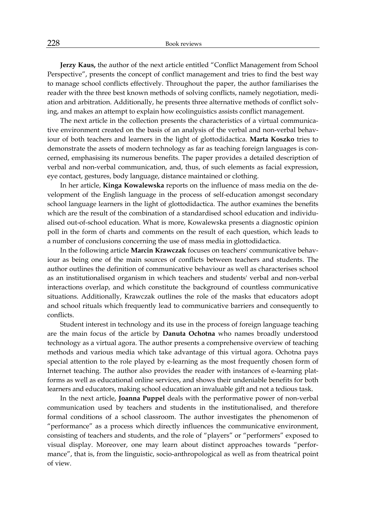**Jerzy Kaus,** the author of the next article entitled "Conflict Management from School Perspective", presents the concept of conflict management and tries to find the best way to manage school conflicts effectively. Throughout the paper, the author familiarises the reader with the three best known methods of solving conflicts, namely negotiation, mediation and arbitration. Additionally, he presents three alternative methods of conflict solving, and makes an attempt to explain how ecolinguistics assists conflict management.

The next article in the collection presents the characteristics of a virtual communicative environment created on the basis of an analysis of the verbal and non-verbal behaviour of both teachers and learners in the light of glottodidactica. **Marta Koszko** tries to demonstrate the assets of modern technology as far as teaching foreign languages is concerned, emphasising its numerous benefits. The paper provides a detailed description of verbal and non-verbal communication, and, thus, of such elements as facial expression, eye contact, gestures, body language, distance maintained or clothing.

In her article, **Kinga Kowalewska** reports on the influence of mass media on the development of the English language in the process of self-education amongst secondary school language learners in the light of glottodidactica. The author examines the benefits which are the result of the combination of a standardised school education and individualised out-of-school education. What is more, Kowalewska presents a diagnostic opinion poll in the form of charts and comments on the result of each question, which leads to a number of conclusions concerning the use of mass media in glottodidactica.

In the following article **Marcin Krawczak** focuses on teachers' communicative behaviour as being one of the main sources of conflicts between teachers and students. The author outlines the definition of communicative behaviour as well as characterises school as an institutionalised organism in which teachers and students' verbal and non-verbal interactions overlap, and which constitute the background of countless communicative situations. Additionally, Krawczak outlines the role of the masks that educators adopt and school rituals which frequently lead to communicative barriers and consequently to conflicts.

Student interest in technology and its use in the process of foreign language teaching are the main focus of the article by **Danuta Ochotna** who names broadly understood technology as a virtual agora. The author presents a comprehensive overview of teaching methods and various media which take advantage of this virtual agora. Ochotna pays special attention to the role played by e-learning as the most frequently chosen form of Internet teaching. The author also provides the reader with instances of e-learning platforms as well as educational online services, and shows their undeniable benefits for both learners and educators, making school education an invaluable gift and not a tedious task.

In the next article, **Joanna Puppel** deals with the performative power of non-verbal communication used by teachers and students in the institutionalised, and therefore formal conditions of a school classroom. The author investigates the phenomenon of "performance" as a process which directly influences the communicative environment, consisting of teachers and students, and the role of "players" or "performers" exposed to visual display. Moreover, one may learn about distinct approaches towards "performance", that is, from the linguistic, socio-anthropological as well as from theatrical point of view.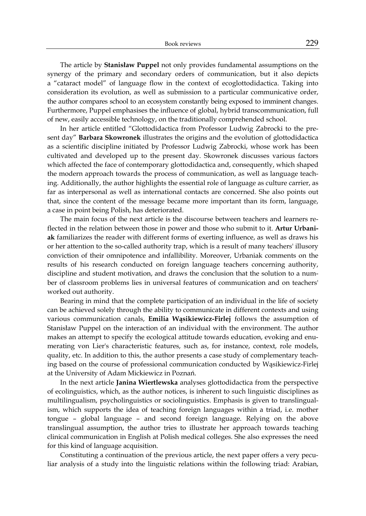The article by **Stanisław Puppel** not only provides fundamental assumptions on the synergy of the primary and secondary orders of communication, but it also depicts a "cataract model" of language flow in the context of ecoglottodidactica. Taking into consideration its evolution, as well as submission to a particular communicative order, the author compares school to an ecosystem constantly being exposed to imminent changes. Furthermore, Puppel emphasises the influence of global, hybrid transcommunication, full of new, easily accessible technology, on the traditionally comprehended school.

In her article entitled "Glottodidactica from Professor Ludwig Zabrocki to the present day" **Barbara Skowronek** illustrates the origins and the evolution of glottodidactica as a scientific discipline initiated by Professor Ludwig Zabrocki, whose work has been cultivated and developed up to the present day. Skowronek discusses various factors which affected the face of contemporary glottodidactica and, consequently, which shaped the modern approach towards the process of communication, as well as language teaching. Additionally, the author highlights the essential role of language as culture carrier, as far as interpersonal as well as international contacts are concerned. She also points out that, since the content of the message became more important than its form, language, a case in point being Polish, has deteriorated.

The main focus of the next article is the discourse between teachers and learners reflected in the relation between those in power and those who submit to it. **Artur Urbaniak** familiarizes the reader with different forms of exerting influence, as well as draws his or her attention to the so-called authority trap, which is a result of many teachers' illusory conviction of their omnipotence and infallibility. Moreover, Urbaniak comments on the results of his research conducted on foreign language teachers concerning authority, discipline and student motivation, and draws the conclusion that the solution to a number of classroom problems lies in universal features of communication and on teachers' worked out authority.

Bearing in mind that the complete participation of an individual in the life of society can be achieved solely through the ability to communicate in different contexts and using various communication canals, **Emilia Wąsikiewicz-Firlej** follows the assumption of Stanisław Puppel on the interaction of an individual with the environment. The author makes an attempt to specify the ecological attitude towards education, evoking and enumerating von Lier's characteristic features, such as, for instance, context, role models, quality, etc. In addition to this, the author presents a case study of complementary teaching based on the course of professional communication conducted by Wąsikiewicz-Firlej at the University of Adam Mickiewicz in Poznań.

In the next article **Janina Wiertlewska** analyses glottodidactica from the perspective of ecolinguistics, which, as the author notices, is inherent to such linguistic disciplines as multilingualism, psycholinguistics or sociolinguistics. Emphasis is given to translingualism, which supports the idea of teaching foreign languages within a triad, i.e. mother tongue – global language – and second foreign language. Relying on the above translingual assumption, the author tries to illustrate her approach towards teaching clinical communication in English at Polish medical colleges. She also expresses the need for this kind of language acquisition.

Constituting a continuation of the previous article, the next paper offers a very peculiar analysis of a study into the linguistic relations within the following triad: Arabian,